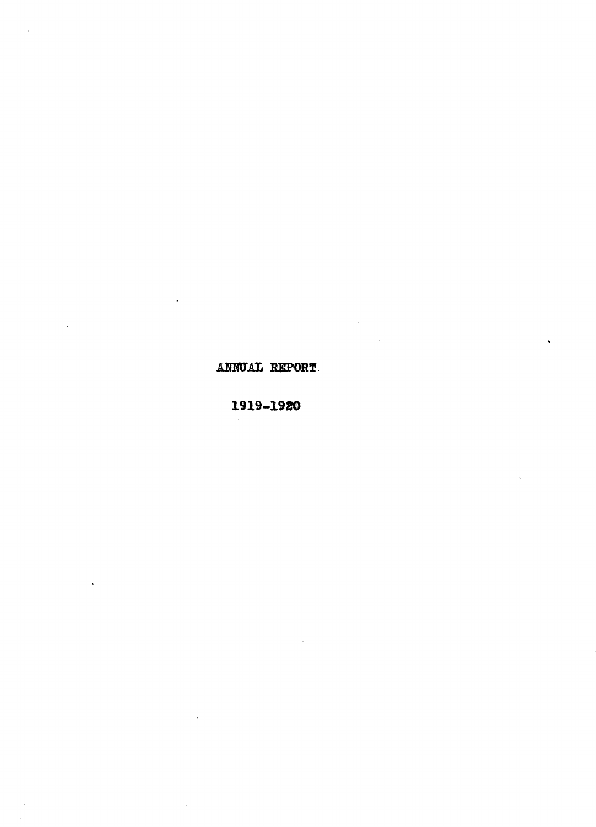ANNUAL REPORT.

1919-1920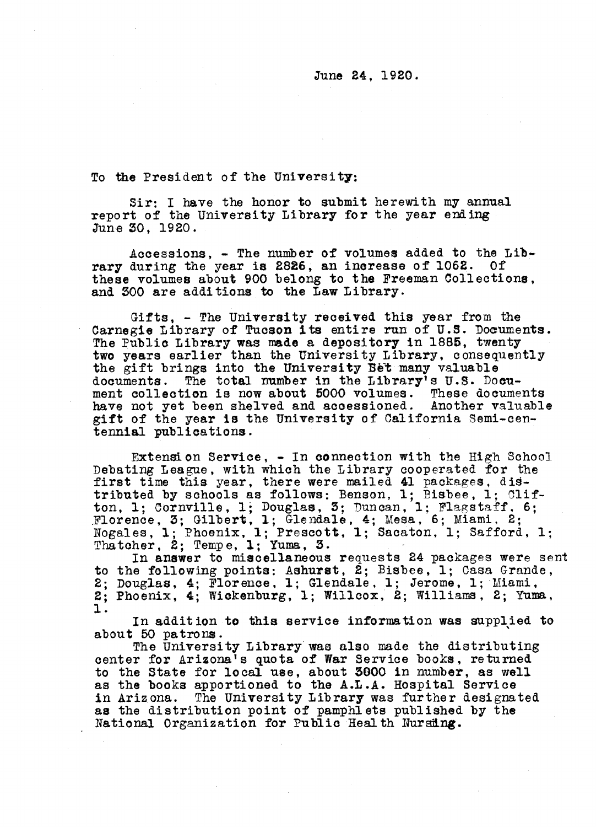June 24, 1920.

To the President of the University:

Sir: I have the honor to submit herewith my annual report of the University Library for the year ending June 30, 1920.

Accessions, - The number of volumes added to the Lib-<br>during the year is 2826, an increase of 1062. Of rary during the year is 2826, an increase of 1062. these volumes about 900 belong to the Freeman Collections, and 300 are additions to the Law Library.

Gifts, - The University received this year from the Carnegie Library of Tucson its entire run of U.S. Documents. The Public Library was made a depository in 1885, twenty two years earlier than the University Library, consequently the gift brings into the University Bet many valuable documents. The total number in the Library's U.S. Document collection is now about 5000 volumes. These documents have not yet been shelved and accessioned. Another valuable gift of the year is the University of California Semi-centennial publications.

Extension Service, - In connection with the High School Debating League, with which the Library cooperated for the first time this year, there were mailed 41 packages, distributed by schools as follows: Benson, 1; Bisbee, 1; Clifton, 1; Cornville, 1; Douglas, 3; Duncan, 1; Flagstaff, 6; Florence, 3; Gilbert, 1; Glendale, 4; Mesa, 6; Miami, 2; Nogales, 1; Phoenix, 1; Prescott, 1; Sacaton, 1; Safford, 1; Thatcher, 2; Tempe, 1; Yuma, 3.

In answer to miscellaneous requests 24 packages were sent to the following points: Ashurat, 2; Bisbee, 1; Casa Grande, 2; Douglas, 4; Florence, 1; Glendale, 1; Jerome, 1; Miami, 2; Phoenix, 4; Wickenburg, 1; Willcox, 2; Williams, 2; Yuma, 1.

In addition to this service information was supplied to about 50 patrons.

The University Library was also made the distributing center for Arizona's quota of War Service books, returned to the State for local use, about 3000 in number, as well as the books apportioned to the A.L.A. Hospital Service<br>in Arizona. The University Library was further designal The University Library was further designated as the distribution point of pamphlets published by the National Organization for Public Health Nursing.